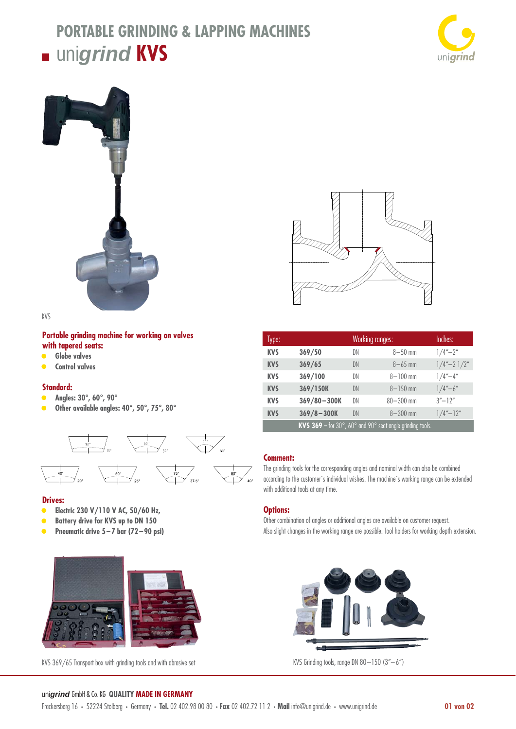# **PORTABLE GRINDING & LAPPING MACHINES unigrind KVS**





KVS

### **Portable grinding machine for working on valves with tapered seats:**

- **Globe valves**
- **Control valves**

#### **Standard:**

- **Angles: 30°, 60°, 90°**
- **Other available angles: 40°, 50°, 75°, 80°**



#### **Drives:**

- **Electric 230 V/110 V AC, 50/60 Hz,**
- **• Battery drive for KVS up to DN 150**
- **• Pneumatic drive 5 7 bar (72 90 psi)**



KVS 369/65 Transport box with grinding tools and with abrasive set



| Type:      |                                                                                                 | <b>Working ranges:</b> |               | Inches:          |
|------------|-------------------------------------------------------------------------------------------------|------------------------|---------------|------------------|
| <b>KVS</b> | 369/50                                                                                          | DN                     | $8 - 50$ mm   | $1/4'' - 2''$    |
| <b>KVS</b> | 369/65                                                                                          | DN                     | $8 - 65$ mm   | $1/4'' - 21/2''$ |
| <b>KVS</b> | 369/100                                                                                         | DN                     | $8 - 100$ mm  | $1/4'' - 4''$    |
| <b>KVS</b> | 369/150K                                                                                        | DN                     | $8 - 150$ mm  | $1/4 - 6$        |
| <b>KVS</b> | $369/80 - 300K$                                                                                 | DN                     | $80 - 300$ mm | $3'' - 12''$     |
| <b>KVS</b> | $369/8 - 300K$                                                                                  | DN                     | $8 - 300$ mm  | $1/4'' - 12''$   |
|            | <b>KVS 369</b> = for 30 $^{\circ}$ , 60 $^{\circ}$ and 90 $^{\circ}$ seat angle grinding tools. |                        |               |                  |

## **Comment:**

The grinding tools for the corresponding angles and nominal width can also be combined according to the customer´s individual wishes. The machine´s working range can be extended with additional tools at any time.

#### **Options:**

Other combination of angles or additional angles are available on customer request. Also slight changes in the working range are possible. Tool holders for working depth extension.



KVS Grinding tools, range DN  $80 - 150$   $(3'' - 6'')$ 

#### uni*grind* GmbH & Co. KG **QUALITY MADE IN GERMANY**